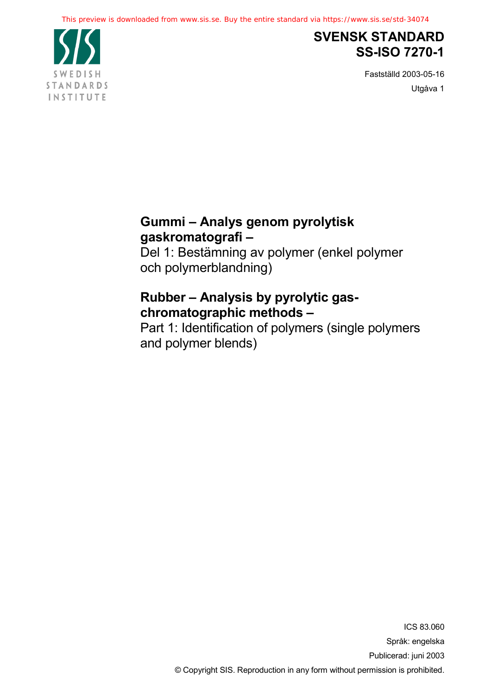

# **SVENSK STANDARD SS-ISO 7270-1**

Fastställd 2003-05-16 Utgåva 1

# **Gummi – Analys genom pyrolytisk gaskromatografi –**

Del 1: Bestämning av polymer (enkel polymer och polymerblandning)

# **Rubber – Analysis by pyrolytic gaschromatographic methods –**

Part 1: Identification of polymers (single polymers and polymer blends)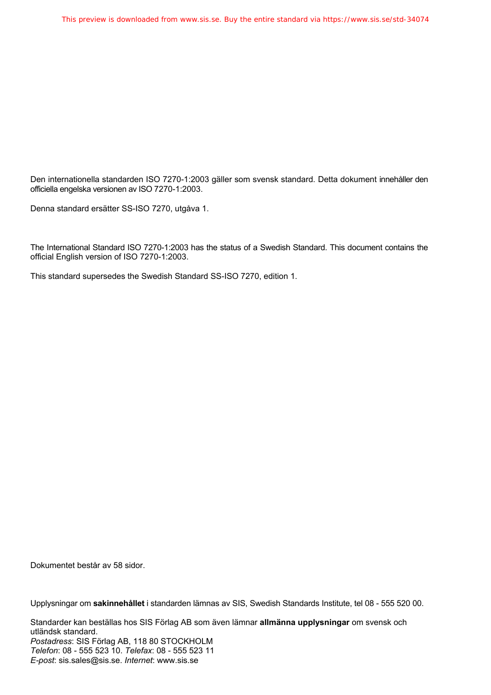Den internationella standarden ISO 7270-1:2003 gäller som svensk standard. Detta dokument innehåller den officiella engelska versionen av ISO 7270-1:2003.

Denna standard ersätter SS-ISO 7270, utgåva 1.

The International Standard ISO 7270-1:2003 has the status of a Swedish Standard. This document contains the official English version of ISO 7270-1:2003.

This standard supersedes the Swedish Standard SS-ISO 7270, edition 1.

Dokumentet består av 58 sidor.

Upplysningar om **sakinnehållet** i standarden lämnas av SIS, Swedish Standards Institute, tel 08 - 555 520 00.

Standarder kan beställas hos SIS Förlag AB som även lämnar **allmänna upplysningar** om svensk och utländsk standard. *Postadress*: SIS Förlag AB, 118 80 STOCKHOLM *Telefon*: 08 - 555 523 10. *Telefax*: 08 - 555 523 11 *E-post*: sis.sales@sis.se. *Internet*: www.sis.se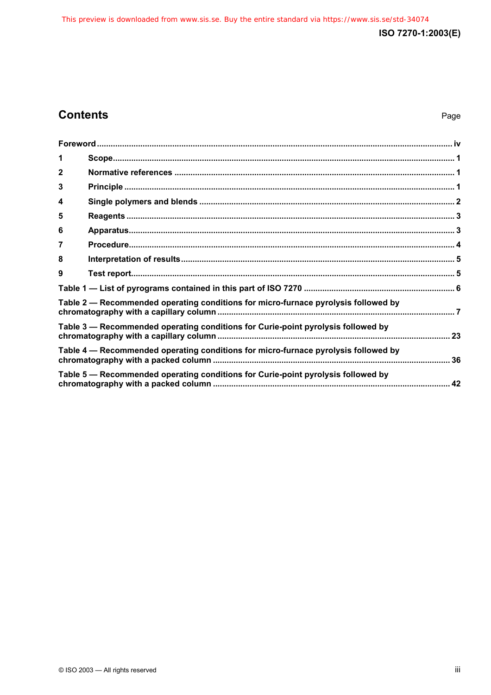## **Contents**

## Page

| 1            |                                                                                    |  |
|--------------|------------------------------------------------------------------------------------|--|
| $\mathbf{2}$ |                                                                                    |  |
| 3            |                                                                                    |  |
| 4            |                                                                                    |  |
| 5            |                                                                                    |  |
| 6            |                                                                                    |  |
| 7            |                                                                                    |  |
| 8            |                                                                                    |  |
| 9            |                                                                                    |  |
|              |                                                                                    |  |
|              | Table 2 – Recommended operating conditions for micro-furnace pyrolysis followed by |  |
|              | Table 3 - Recommended operating conditions for Curie-point pyrolysis followed by   |  |
|              | Table 4 – Recommended operating conditions for micro-furnace pyrolysis followed by |  |
|              | Table 5 – Recommended operating conditions for Curie-point pyrolysis followed by   |  |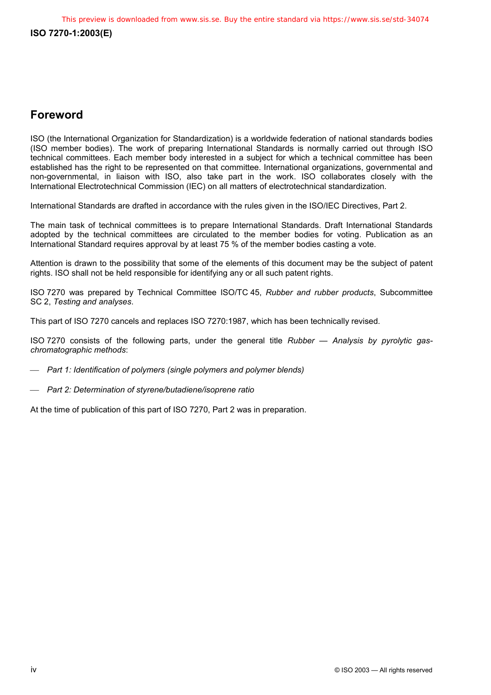## **Foreword**

ISO (the International Organization for Standardization) is a worldwide federation of national standards bodies (ISO member bodies). The work of preparing International Standards is normally carried out through ISO technical committees. Each member body interested in a subject for which a technical committee has been established has the right to be represented on that committee. International organizations, governmental and non-governmental, in liaison with ISO, also take part in the work. ISO collaborates closely with the International Electrotechnical Commission (IEC) on all matters of electrotechnical standardization.

International Standards are drafted in accordance with the rules given in the ISO/IEC Directives, Part 2.

The main task of technical committees is to prepare International Standards. Draft International Standards adopted by the technical committees are circulated to the member bodies for voting. Publication as an International Standard requires approval by at least 75 % of the member bodies casting a vote.

Attention is drawn to the possibility that some of the elements of this document may be the subject of patent rights. ISO shall not be held responsible for identifying any or all such patent rights.

ISO 7270 was prepared by Technical Committee ISO/TC 45, *Rubber and rubber products*, Subcommittee SC 2, *Testing and analyses*.

This part of ISO 7270 cancels and replaces ISO 7270:1987, which has been technically revised.

ISO 7270 consists of the following parts, under the general title *Rubber — Analysis by pyrolytic gaschromatographic methods*:

*Part 1: Identification of polymers (single polymers and polymer blends)* 

*Part 2: Determination of styrene/butadiene/isoprene ratio* 

At the time of publication of this part of ISO 7270, Part 2 was in preparation.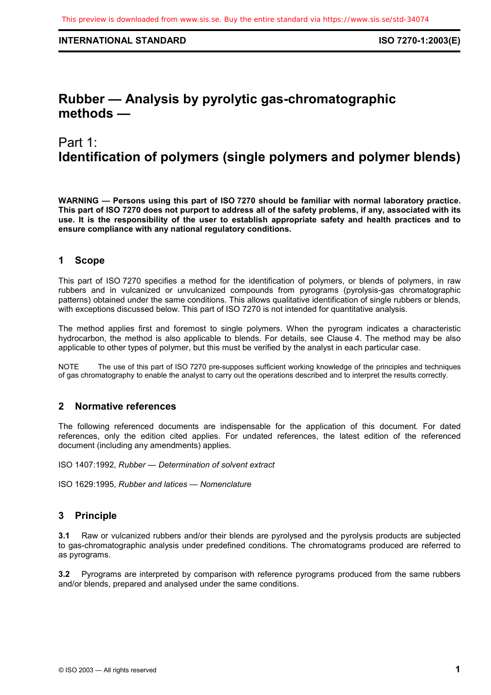# **Rubber — Analysis by pyrolytic gas-chromatographic methods —**

## Part 1: **Identification of polymers (single polymers and polymer blends)**

**WARNING — Persons using this part of ISO 7270 should be familiar with normal laboratory practice. This part of ISO 7270 does not purport to address all of the safety problems, if any, associated with its use. It is the responsibility of the user to establish appropriate safety and health practices and to ensure compliance with any national regulatory conditions.** 

## **1 Scope**

This part of ISO 7270 specifies a method for the identification of polymers, or blends of polymers, in raw rubbers and in vulcanized or unvulcanized compounds from pyrograms (pyrolysis-gas chromatographic patterns) obtained under the same conditions. This allows qualitative identification of single rubbers or blends, with exceptions discussed below. This part of ISO 7270 is not intended for quantitative analysis.

The method applies first and foremost to single polymers. When the pyrogram indicates a characteristic hydrocarbon, the method is also applicable to blends. For details, see Clause 4. The method may be also applicable to other types of polymer, but this must be verified by the analyst in each particular case.

NOTE The use of this part of ISO 7270 pre-supposes sufficient working knowledge of the principles and techniques of gas chromatography to enable the analyst to carry out the operations described and to interpret the results correctly.

## **2 Normative references**

The following referenced documents are indispensable for the application of this document. For dated references, only the edition cited applies. For undated references, the latest edition of the referenced document (including any amendments) applies.

ISO 1407:1992, *Rubber — Determination of solvent extract*

ISO 1629:1995, *Rubber and latices — Nomenclature*

## **3 Principle**

**3.1** Raw or vulcanized rubbers and/or their blends are pyrolysed and the pyrolysis products are subjected to gas-chromatographic analysis under predefined conditions. The chromatograms produced are referred to as pyrograms.

**3.2** Pyrograms are interpreted by comparison with reference pyrograms produced from the same rubbers and/or blends, prepared and analysed under the same conditions.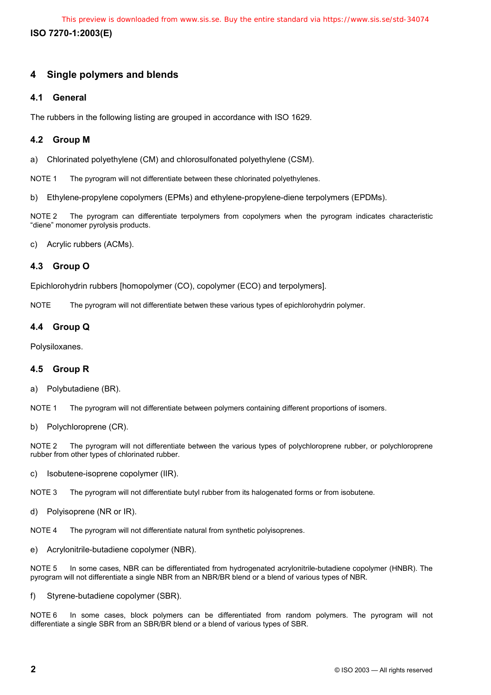**ISO 7270-1:2003(E)**  This preview is downloaded from www.sis.se. Buy the entire standard via https://www.sis.se/std-34074

## **4 Single polymers and blends**

#### **4.1 General**

The rubbers in the following listing are grouped in accordance with ISO 1629.

### **4.2 Group M**

a) Chlorinated polyethylene (CM) and chlorosulfonated polyethylene (CSM).

NOTE 1 The pyrogram will not differentiate between these chlorinated polyethylenes.

b) Ethylene-propylene copolymers (EPMs) and ethylene-propylene-diene terpolymers (EPDMs).

NOTE 2 The pyrogram can differentiate terpolymers from copolymers when the pyrogram indicates characteristic "diene" monomer pyrolysis products.

c) Acrylic rubbers (ACMs).

## **4.3 Group O**

Epichlorohydrin rubbers [homopolymer (CO), copolymer (ECO) and terpolymers].

NOTE The pyrogram will not differentiate betwen these various types of epichlorohydrin polymer.

## **4.4 Group Q**

Polysiloxanes.

#### **4.5 Group R**

a) Polybutadiene (BR).

NOTE 1 The pyrogram will not differentiate between polymers containing different proportions of isomers.

b) Polychloroprene (CR).

NOTE 2 The pyrogram will not differentiate between the various types of polychloroprene rubber, or polychloroprene rubber from other types of chlorinated rubber.

c) Isobutene-isoprene copolymer (IIR).

NOTE 3 The pyrogram will not differentiate butyl rubber from its halogenated forms or from isobutene.

d) Polyisoprene (NR or IR).

NOTE 4 The pyrogram will not differentiate natural from synthetic polyisoprenes.

e) Acrylonitrile-butadiene copolymer (NBR).

NOTE 5 In some cases, NBR can be differentiated from hydrogenated acrylonitrile-butadiene copolymer (HNBR). The pyrogram will not differentiate a single NBR from an NBR/BR blend or a blend of various types of NBR.

f) Styrene-butadiene copolymer (SBR).

NOTE 6 In some cases, block polymers can be differentiated from random polymers. The pyrogram will not differentiate a single SBR from an SBR/BR blend or a blend of various types of SBR.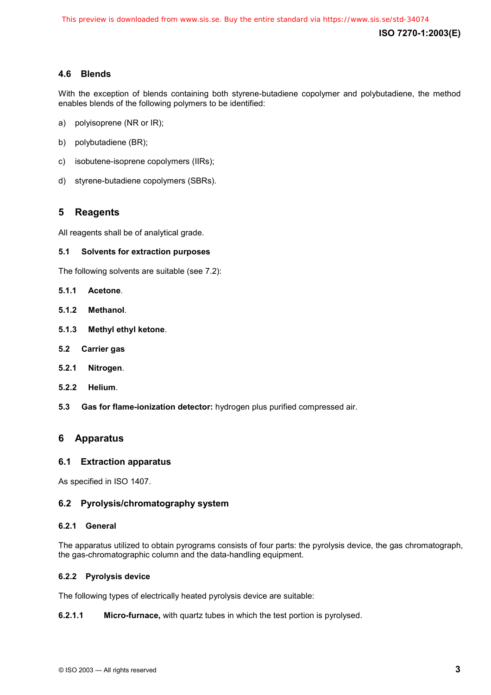## **4.6 Blends**

With the exception of blends containing both styrene-butadiene copolymer and polybutadiene, the method enables blends of the following polymers to be identified:

- a) polyisoprene (NR or IR);
- b) polybutadiene (BR);
- c) isobutene-isoprene copolymers (IIRs);
- d) styrene-butadiene copolymers (SBRs).

## **5 Reagents**

All reagents shall be of analytical grade.

#### **5.1 Solvents for extraction purposes**

The following solvents are suitable (see 7.2):

- **5.1.1 Acetone**.
- **5.1.2 Methanol**.
- **5.1.3 Methyl ethyl ketone**.
- **5.2 Carrier gas**
- **5.2.1 Nitrogen**.
- **5.2.2 Helium**.
- **5.3 Gas for flame-ionization detector:** hydrogen plus purified compressed air.

#### **6 Apparatus**

#### **6.1 Extraction apparatus**

As specified in ISO 1407.

#### **6.2 Pyrolysis/chromatography system**

#### **6.2.1 General**

The apparatus utilized to obtain pyrograms consists of four parts: the pyrolysis device, the gas chromatograph, the gas-chromatographic column and the data-handling equipment.

#### **6.2.2 Pyrolysis device**

The following types of electrically heated pyrolysis device are suitable:

#### **6.2.1.1 Micro-furnace,** with quartz tubes in which the test portion is pyrolysed.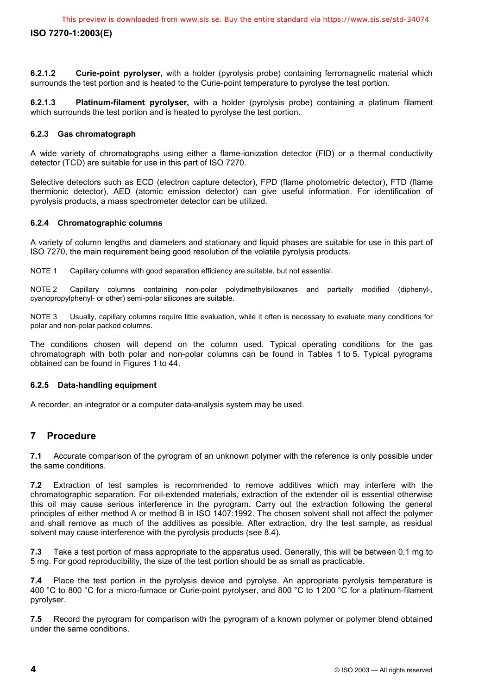**6.2.1.2 Curie-point pyrolyser,** with a holder (pyrolysis probe) containing ferromagnetic material which surrounds the test portion and is heated to the Curie-point temperature to pyrolyse the test portion.

**6.2.1.3 Platinum-filament pyrolyser,** with a holder (pyrolysis probe) containing a platinum filament which surrounds the test portion and is heated to pyrolyse the test portion.

#### **6.2.3 Gas chromatograph**

A wide variety of chromatographs using either a flame-ionization detector (FID) or a thermal conductivity detector (TCD) are suitable for use in this part of ISO 7270.

Selective detectors such as ECD (electron capture detector), FPD (flame photometric detector), FTD (flame thermionic detector), AED (atomic emission detector) can give useful information. For identification of pyrolysis products, a mass spectrometer detector can be utilized.

#### **6.2.4 Chromatographic columns**

A variety of column lengths and diameters and stationary and liquid phases are suitable for use in this part of ISO 7270, the main requirement being good resolution of the volatile pyrolysis products.

NOTE 1 Capillary columns with good separation efficiency are suitable, but not essential.

NOTE 2 Capillary columns containing non-polar polydimethylsiloxanes and partially modified (diphenyl-, cyanopropylphenyl- or other) semi-polar silicones are suitable.

NOTE 3 Usually, capillary columns require little evaluation, while it often is necessary to evaluate many conditions for polar and non-polar packed columns.

The conditions chosen will depend on the column used. Typical operating conditions for the gas chromatograph with both polar and non-polar columns can be found in Tables 1 to 5. Typical pyrograms obtained can be found in Figures 1 to 44.

#### **6.2.5 Data-handling equipment**

A recorder, an integrator or a computer data-analysis system may be used.

## **7 Procedure**

**7.1** Accurate comparison of the pyrogram of an unknown polymer with the reference is only possible under the same conditions.

**7.2** Extraction of test samples is recommended to remove additives which may interfere with the chromatographic separation. For oil-extended materials, extraction of the extender oil is essential otherwise this oil may cause serious interference in the pyrogram. Carry out the extraction following the general principles of either method A or method B in ISO 1407:1992. The chosen solvent shall not affect the polymer and shall remove as much of the additives as possible. After extraction, dry the test sample, as residual solvent may cause interference with the pyrolysis products (see 8.4).

**7.3** Take a test portion of mass appropriate to the apparatus used. Generally, this will be between 0,1 mg to 5 mg. For good reproducibility, the size of the test portion should be as small as practicable.

**7.4** Place the test portion in the pyrolysis device and pyrolyse. An appropriate pyrolysis temperature is 400 °C to 800 °C for a micro-furnace or Curie-point pyrolyser, and 800 °C to 1 200 °C for a platinum-filament pyrolyser.

**7.5** Record the pyrogram for comparison with the pyrogram of a known polymer or polymer blend obtained under the same conditions.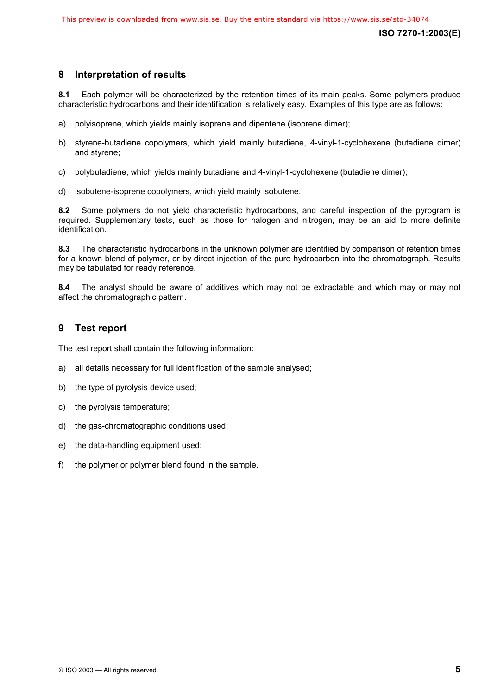## **8 Interpretation of results**

**8.1** Each polymer will be characterized by the retention times of its main peaks. Some polymers produce characteristic hydrocarbons and their identification is relatively easy. Examples of this type are as follows:

- a) polyisoprene, which yields mainly isoprene and dipentene (isoprene dimer);
- b) styrene-butadiene copolymers, which yield mainly butadiene, 4-vinyl-1-cyclohexene (butadiene dimer) and styrene;
- c) polybutadiene, which yields mainly butadiene and 4-vinyl-1-cyclohexene (butadiene dimer);
- d) isobutene-isoprene copolymers, which yield mainly isobutene.

**8.2** Some polymers do not yield characteristic hydrocarbons, and careful inspection of the pyrogram is required. Supplementary tests, such as those for halogen and nitrogen, may be an aid to more definite identification.

**8.3** The characteristic hydrocarbons in the unknown polymer are identified by comparison of retention times for a known blend of polymer, or by direct injection of the pure hydrocarbon into the chromatograph. Results may be tabulated for ready reference.

**8.4** The analyst should be aware of additives which may not be extractable and which may or may not affect the chromatographic pattern.

## **9 Test report**

The test report shall contain the following information:

- a) all details necessary for full identification of the sample analysed;
- b) the type of pyrolysis device used;
- c) the pyrolysis temperature;
- d) the gas-chromatographic conditions used;
- e) the data-handling equipment used;
- f) the polymer or polymer blend found in the sample.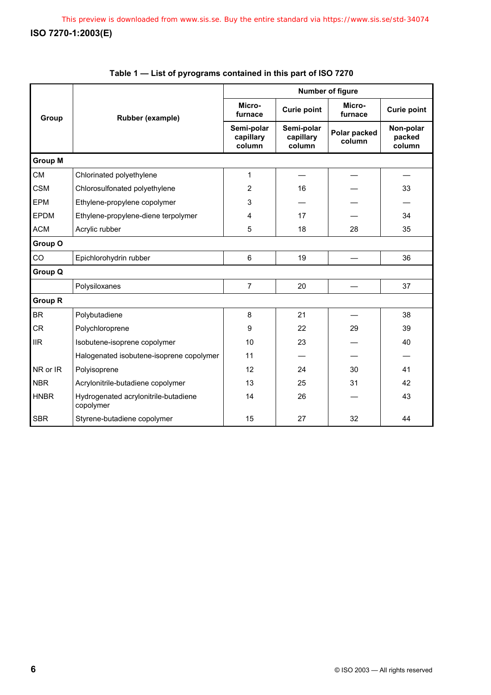|                | Rubber (example)                                  | Number of figure                  |                                   |                        |                               |  |  |
|----------------|---------------------------------------------------|-----------------------------------|-----------------------------------|------------------------|-------------------------------|--|--|
| Group          |                                                   | Micro-<br>furnace                 | <b>Curie point</b>                | Micro-<br>furnace      | <b>Curie point</b>            |  |  |
|                |                                                   | Semi-polar<br>capillary<br>column | Semi-polar<br>capillary<br>column | Polar packed<br>column | Non-polar<br>packed<br>column |  |  |
| <b>Group M</b> |                                                   |                                   |                                   |                        |                               |  |  |
| <b>CM</b>      | Chlorinated polyethylene                          | 1                                 |                                   |                        |                               |  |  |
| <b>CSM</b>     | Chlorosulfonated polyethylene                     | 2                                 | 16                                |                        | 33                            |  |  |
| <b>EPM</b>     | Ethylene-propylene copolymer                      | 3                                 |                                   |                        |                               |  |  |
| <b>EPDM</b>    | Ethylene-propylene-diene terpolymer               | 4                                 | 17                                |                        | 34                            |  |  |
| <b>ACM</b>     | Acrylic rubber                                    | 5                                 | 18                                | 28                     | 35                            |  |  |
| Group O        |                                                   |                                   |                                   |                        |                               |  |  |
| CO             | Epichlorohydrin rubber                            | 6                                 | 19                                |                        | 36                            |  |  |
| <b>Group Q</b> |                                                   |                                   |                                   |                        |                               |  |  |
|                | Polysiloxanes                                     | $\overline{7}$                    | 20                                |                        | 37                            |  |  |
| <b>Group R</b> |                                                   |                                   |                                   |                        |                               |  |  |
| <b>BR</b>      | Polybutadiene                                     | 8                                 | 21                                |                        | 38                            |  |  |
| <b>CR</b>      | Polychloroprene                                   | 9                                 | 22                                | 29                     | 39                            |  |  |
| <b>IIR</b>     | Isobutene-isoprene copolymer                      | 10                                | 23                                |                        | 40                            |  |  |
|                | Halogenated isobutene-isoprene copolymer          | 11                                |                                   |                        |                               |  |  |
| NR or IR       | Polyisoprene                                      | 12                                | 24                                | 30                     | 41                            |  |  |
| <b>NBR</b>     | Acrylonitrile-butadiene copolymer                 | 13                                | 25                                | 31                     | 42                            |  |  |
| <b>HNBR</b>    | Hydrogenated acrylonitrile-butadiene<br>copolymer | 14                                | 26                                |                        | 43                            |  |  |
| <b>SBR</b>     | Styrene-butadiene copolymer                       | 15                                | 27                                | 32                     | 44                            |  |  |

## **Table 1 — List of pyrograms contained in this part of ISO 7270**